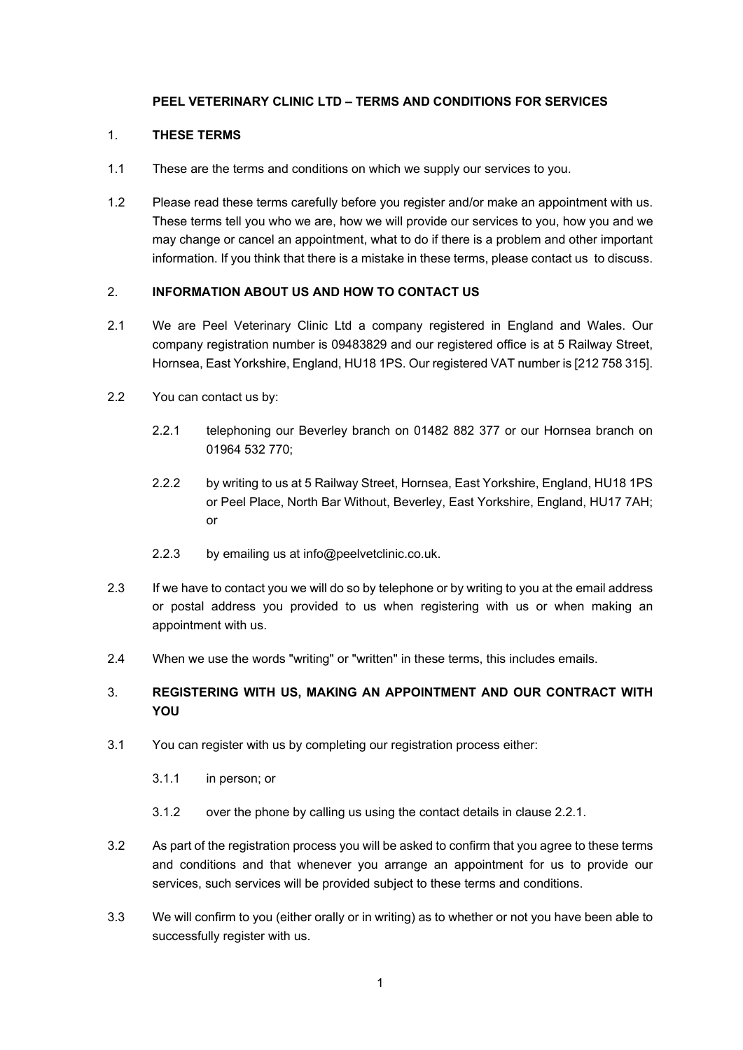# **PEEL VETERINARY CLINIC LTD – TERMS AND CONDITIONS FOR SERVICES**

## 1. **THESE TERMS**

- 1.1 These are the terms and conditions on which we supply our services to you.
- 1.2 Please read these terms carefully before you register and/or make an appointment with us. These terms tell you who we are, how we will provide our services to you, how you and we may change or cancel an appointment, what to do if there is a problem and other important information. If you think that there is a mistake in these terms, please contact us to discuss.

# 2. **INFORMATION ABOUT US AND HOW TO CONTACT US**

- 2.1 We are Peel Veterinary Clinic Ltd a company registered in England and Wales. Our company registration number is 09483829 and our registered office is at 5 Railway Street, Hornsea, East Yorkshire, England, HU18 1PS. Our registered VAT number is [212 758 315].
- 2.2 You can contact us by:
	- 2.2.1 telephoning our Beverley branch on 01482 882 377 or our Hornsea branch on 01964 532 770;
	- 2.2.2 by writing to us at 5 Railway Street, Hornsea, East Yorkshire, England, HU18 1PS or Peel Place, North Bar Without, Beverley, East Yorkshire, England, HU17 7AH; or
	- 2.2.3 by emailing us at info@peelvetclinic.co.uk.
- 2.3 If we have to contact you we will do so by telephone or by writing to you at the email address or postal address you provided to us when registering with us or when making an appointment with us.
- 2.4 When we use the words "writing" or "written" in these terms, this includes emails.

# 3. **REGISTERING WITH US, MAKING AN APPOINTMENT AND OUR CONTRACT WITH YOU**

- 3.1 You can register with us by completing our registration process either:
	- 3.1.1 in person; or
	- 3.1.2 over the phone by calling us using the contact details in clause 2.2.1.
- 3.2 As part of the registration process you will be asked to confirm that you agree to these terms and conditions and that whenever you arrange an appointment for us to provide our services, such services will be provided subject to these terms and conditions.
- 3.3 We will confirm to you (either orally or in writing) as to whether or not you have been able to successfully register with us.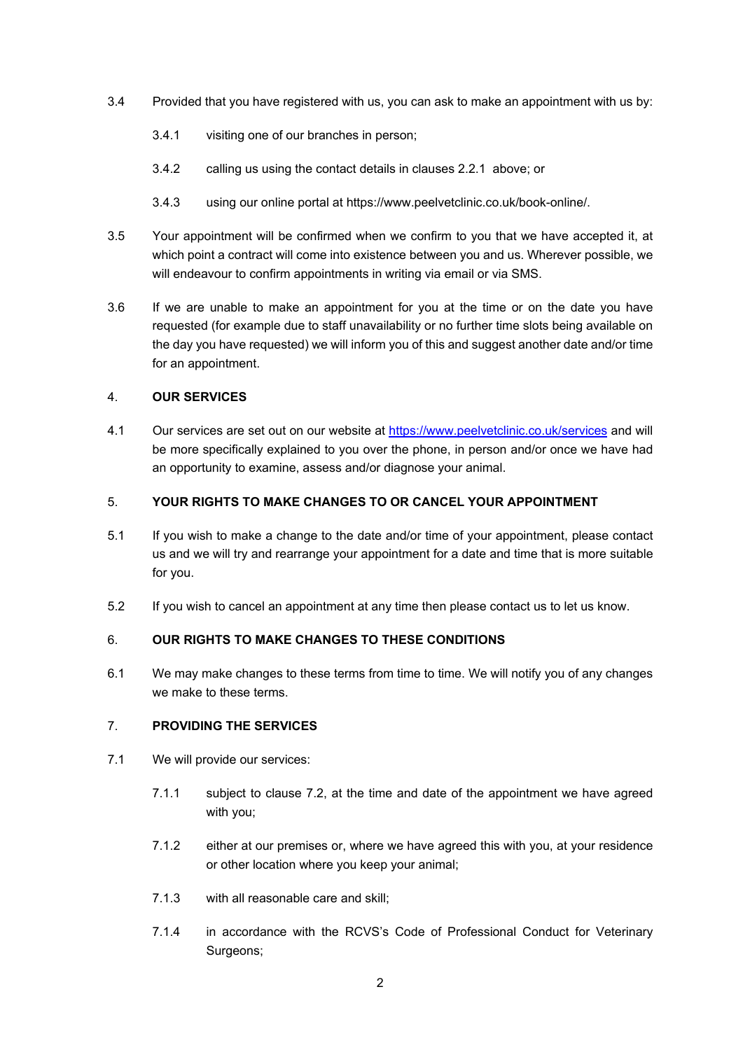- 3.4 Provided that you have registered with us, you can ask to make an appointment with us by:
	- 3.4.1 visiting one of our branches in person;
	- 3.4.2 calling us using the contact details in clauses 2.2.1 above; or
	- 3.4.3 using our online portal at https://www.peelvetclinic.co.uk/book-online/.
- 3.5 Your appointment will be confirmed when we confirm to you that we have accepted it, at which point a contract will come into existence between you and us. Wherever possible, we will endeavour to confirm appointments in writing via email or via SMS.
- 3.6 If we are unable to make an appointment for you at the time or on the date you have requested (for example due to staff unavailability or no further time slots being available on the day you have requested) we will inform you of this and suggest another date and/or time for an appointment.

# 4. **OUR SERVICES**

4.1 Our services are set out on our website at https://www.peelvetclinic.co.uk/services and will be more specifically explained to you over the phone, in person and/or once we have had an opportunity to examine, assess and/or diagnose your animal.

# 5. **YOUR RIGHTS TO MAKE CHANGES TO OR CANCEL YOUR APPOINTMENT**

- 5.1 If you wish to make a change to the date and/or time of your appointment, please contact us and we will try and rearrange your appointment for a date and time that is more suitable for you.
- 5.2 If you wish to cancel an appointment at any time then please contact us to let us know.

# 6. **OUR RIGHTS TO MAKE CHANGES TO THESE CONDITIONS**

6.1 We may make changes to these terms from time to time. We will notify you of any changes we make to these terms.

## 7. **PROVIDING THE SERVICES**

- 7.1 We will provide our services:
	- 7.1.1 subject to clause 7.2, at the time and date of the appointment we have agreed with you;
	- 7.1.2 either at our premises or, where we have agreed this with you, at your residence or other location where you keep your animal;
	- 7.1.3 with all reasonable care and skill;
	- 7.1.4 in accordance with the RCVS's Code of Professional Conduct for Veterinary Surgeons;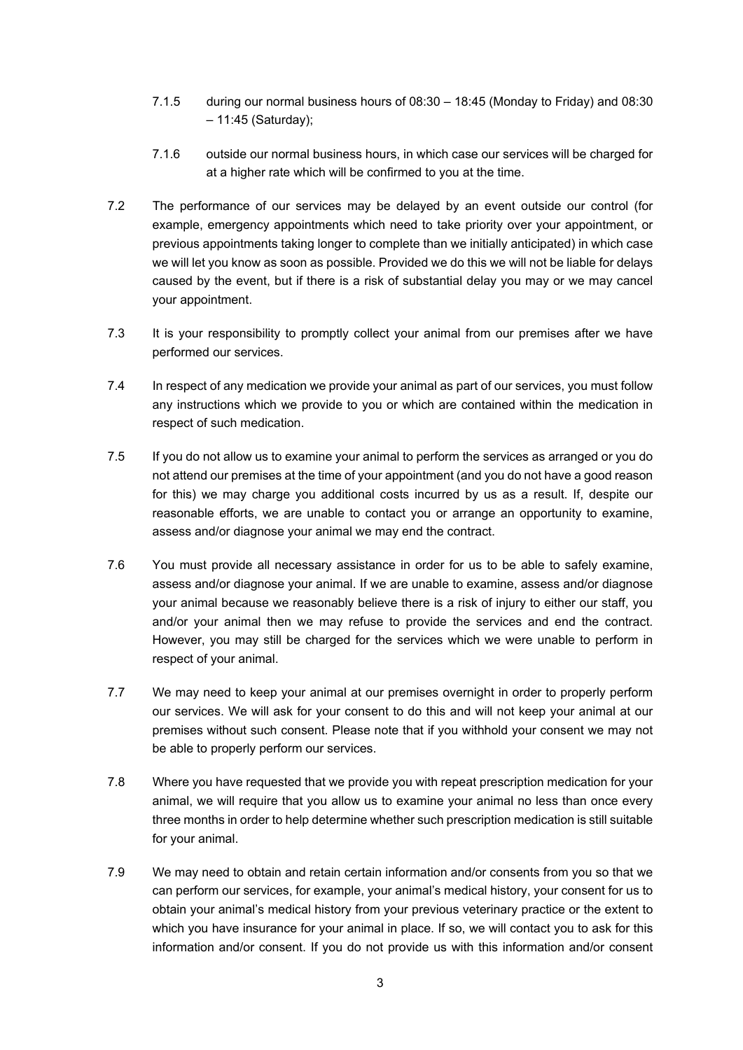- 7.1.5 during our normal business hours of 08:30 18:45 (Monday to Friday) and 08:30 – 11:45 (Saturday);
- 7.1.6 outside our normal business hours, in which case our services will be charged for at a higher rate which will be confirmed to you at the time.
- 7.2 The performance of our services may be delayed by an event outside our control (for example, emergency appointments which need to take priority over your appointment, or previous appointments taking longer to complete than we initially anticipated) in which case we will let you know as soon as possible. Provided we do this we will not be liable for delays caused by the event, but if there is a risk of substantial delay you may or we may cancel your appointment.
- 7.3 It is your responsibility to promptly collect your animal from our premises after we have performed our services.
- 7.4 In respect of any medication we provide your animal as part of our services, you must follow any instructions which we provide to you or which are contained within the medication in respect of such medication.
- 7.5 If you do not allow us to examine your animal to perform the services as arranged or you do not attend our premises at the time of your appointment (and you do not have a good reason for this) we may charge you additional costs incurred by us as a result. If, despite our reasonable efforts, we are unable to contact you or arrange an opportunity to examine, assess and/or diagnose your animal we may end the contract.
- 7.6 You must provide all necessary assistance in order for us to be able to safely examine, assess and/or diagnose your animal. If we are unable to examine, assess and/or diagnose your animal because we reasonably believe there is a risk of injury to either our staff, you and/or your animal then we may refuse to provide the services and end the contract. However, you may still be charged for the services which we were unable to perform in respect of your animal.
- 7.7 We may need to keep your animal at our premises overnight in order to properly perform our services. We will ask for your consent to do this and will not keep your animal at our premises without such consent. Please note that if you withhold your consent we may not be able to properly perform our services.
- 7.8 Where you have requested that we provide you with repeat prescription medication for your animal, we will require that you allow us to examine your animal no less than once every three months in order to help determine whether such prescription medication is still suitable for your animal.
- 7.9 We may need to obtain and retain certain information and/or consents from you so that we can perform our services, for example, your animal's medical history, your consent for us to obtain your animal's medical history from your previous veterinary practice or the extent to which you have insurance for your animal in place. If so, we will contact you to ask for this information and/or consent. If you do not provide us with this information and/or consent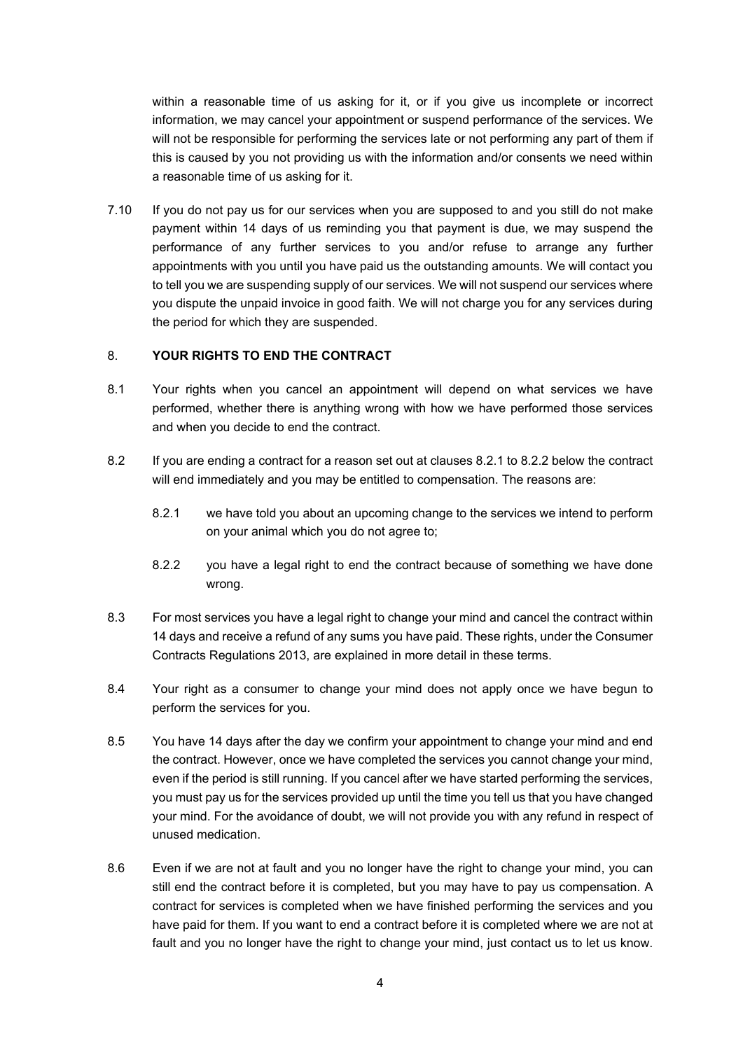within a reasonable time of us asking for it, or if you give us incomplete or incorrect information, we may cancel your appointment or suspend performance of the services. We will not be responsible for performing the services late or not performing any part of them if this is caused by you not providing us with the information and/or consents we need within a reasonable time of us asking for it.

7.10 If you do not pay us for our services when you are supposed to and you still do not make payment within 14 days of us reminding you that payment is due, we may suspend the performance of any further services to you and/or refuse to arrange any further appointments with you until you have paid us the outstanding amounts. We will contact you to tell you we are suspending supply of our services. We will not suspend our services where you dispute the unpaid invoice in good faith. We will not charge you for any services during the period for which they are suspended.

#### 8. **YOUR RIGHTS TO END THE CONTRACT**

- 8.1 Your rights when you cancel an appointment will depend on what services we have performed, whether there is anything wrong with how we have performed those services and when you decide to end the contract.
- 8.2 If you are ending a contract for a reason set out at clauses 8.2.1 to 8.2.2 below the contract will end immediately and you may be entitled to compensation. The reasons are:
	- 8.2.1 we have told you about an upcoming change to the services we intend to perform on your animal which you do not agree to;
	- 8.2.2 you have a legal right to end the contract because of something we have done wrong.
- 8.3 For most services you have a legal right to change your mind and cancel the contract within 14 days and receive a refund of any sums you have paid. These rights, under the Consumer Contracts Regulations 2013, are explained in more detail in these terms.
- 8.4 Your right as a consumer to change your mind does not apply once we have begun to perform the services for you.
- 8.5 You have 14 days after the day we confirm your appointment to change your mind and end the contract. However, once we have completed the services you cannot change your mind, even if the period is still running. If you cancel after we have started performing the services, you must pay us for the services provided up until the time you tell us that you have changed your mind. For the avoidance of doubt, we will not provide you with any refund in respect of unused medication.
- 8.6 Even if we are not at fault and you no longer have the right to change your mind, you can still end the contract before it is completed, but you may have to pay us compensation. A contract for services is completed when we have finished performing the services and you have paid for them. If you want to end a contract before it is completed where we are not at fault and you no longer have the right to change your mind, just contact us to let us know.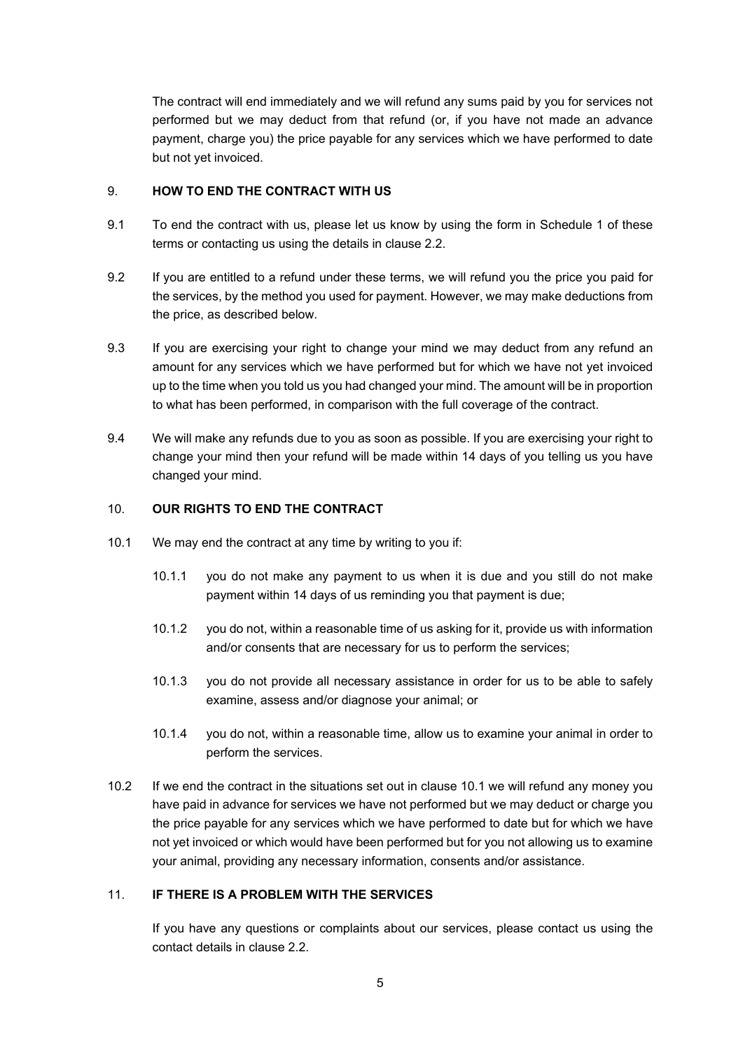The contract will end immediately and we will refund any sums paid by you for services not performed but we may deduct from that refund (or, if you have not made an advance payment, charge you) the price payable for any services which we have performed to date but not yet invoiced.

## 9. **HOW TO END THE CONTRACT WITH US**

- 9.1 To end the contract with us, please let us know by using the form in Schedule 1 of these terms or contacting us using the details in clause 2.2.
- 9.2 If you are entitled to a refund under these terms, we will refund you the price you paid for the services, by the method you used for payment. However, we may make deductions from the price, as described below.
- 9.3 If you are exercising your right to change your mind we may deduct from any refund an amount for any services which we have performed but for which we have not yet invoiced up to the time when you told us you had changed your mind. The amount will be in proportion to what has been performed, in comparison with the full coverage of the contract.
- 9.4 We will make any refunds due to you as soon as possible. If you are exercising your right to change your mind then your refund will be made within 14 days of you telling us you have changed your mind.

## 10. **OUR RIGHTS TO END THE CONTRACT**

- 10.1 We may end the contract at any time by writing to you if:
	- 10.1.1 you do not make any payment to us when it is due and you still do not make payment within 14 days of us reminding you that payment is due;
	- 10.1.2 you do not, within a reasonable time of us asking for it, provide us with information and/or consents that are necessary for us to perform the services;
	- 10.1.3 you do not provide all necessary assistance in order for us to be able to safely examine, assess and/or diagnose your animal; or
	- 10.1.4 you do not, within a reasonable time, allow us to examine your animal in order to perform the services.
- 10.2 If we end the contract in the situations set out in clause 10.1 we will refund any money you have paid in advance for services we have not performed but we may deduct or charge you the price payable for any services which we have performed to date but for which we have not yet invoiced or which would have been performed but for you not allowing us to examine your animal, providing any necessary information, consents and/or assistance.

# 11. **IF THERE IS A PROBLEM WITH THE SERVICES**

If you have any questions or complaints about our services, please contact us using the contact details in clause 2.2.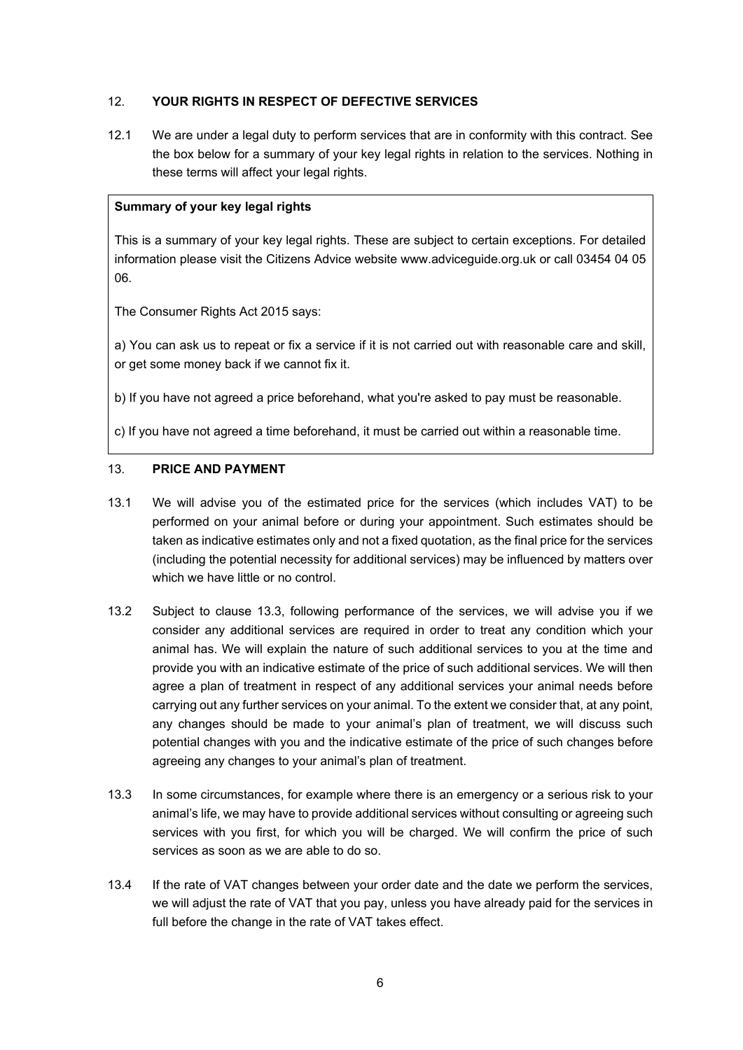# 12. **YOUR RIGHTS IN RESPECT OF DEFECTIVE SERVICES**

12.1 We are under a legal duty to perform services that are in conformity with this contract. See the box below for a summary of your key legal rights in relation to the services. Nothing in these terms will affect your legal rights.

#### **Summary of your key legal rights**

This is a summary of your key legal rights. These are subject to certain exceptions. For detailed information please visit the Citizens Advice website www.adviceguide.org.uk or call 03454 04 05 06.

The Consumer Rights Act 2015 says:

a) You can ask us to repeat or fix a service if it is not carried out with reasonable care and skill, or get some money back if we cannot fix it.

b) If you have not agreed a price beforehand, what you're asked to pay must be reasonable.

c) If you have not agreed a time beforehand, it must be carried out within a reasonable time.

## 13. **PRICE AND PAYMENT**

- 13.1 We will advise you of the estimated price for the services (which includes VAT) to be performed on your animal before or during your appointment. Such estimates should be taken as indicative estimates only and not a fixed quotation, as the final price for the services (including the potential necessity for additional services) may be influenced by matters over which we have little or no control.
- 13.2 Subject to clause 13.3, following performance of the services, we will advise you if we consider any additional services are required in order to treat any condition which your animal has. We will explain the nature of such additional services to you at the time and provide you with an indicative estimate of the price of such additional services. We will then agree a plan of treatment in respect of any additional services your animal needs before carrying out any further services on your animal. To the extent we consider that, at any point, any changes should be made to your animal's plan of treatment, we will discuss such potential changes with you and the indicative estimate of the price of such changes before agreeing any changes to your animal's plan of treatment.
- 13.3 In some circumstances, for example where there is an emergency or a serious risk to your animal's life, we may have to provide additional services without consulting or agreeing such services with you first, for which you will be charged. We will confirm the price of such services as soon as we are able to do so.
- 13.4 If the rate of VAT changes between your order date and the date we perform the services, we will adjust the rate of VAT that you pay, unless you have already paid for the services in full before the change in the rate of VAT takes effect.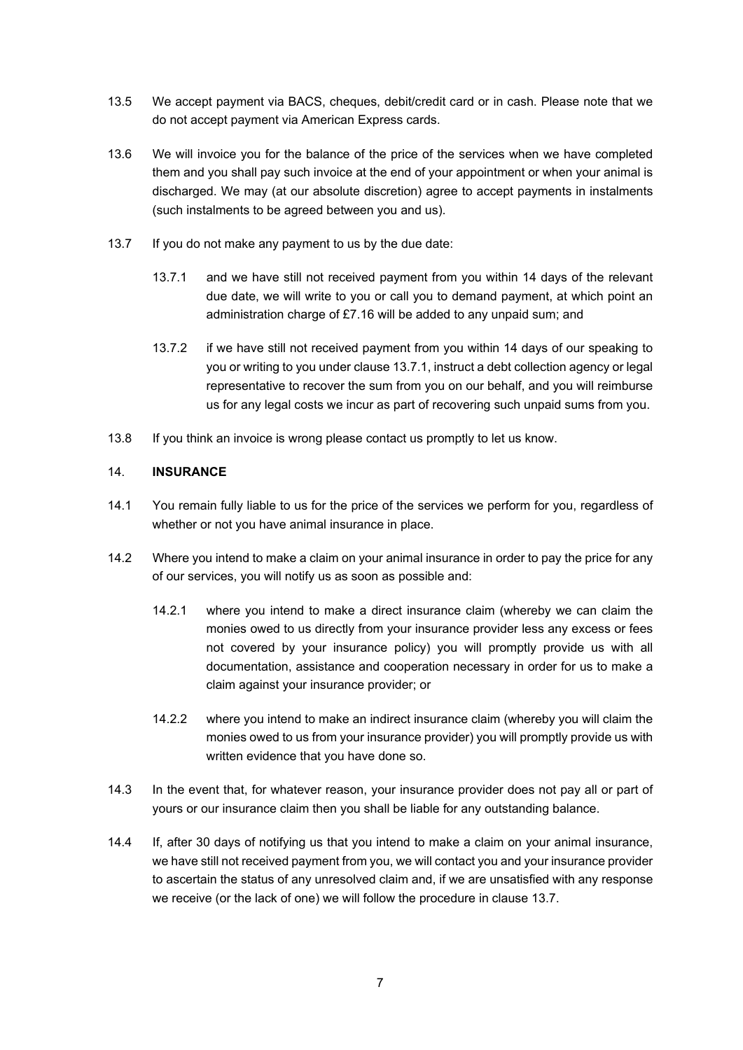- 13.5 We accept payment via BACS, cheques, debit/credit card or in cash. Please note that we do not accept payment via American Express cards.
- 13.6 We will invoice you for the balance of the price of the services when we have completed them and you shall pay such invoice at the end of your appointment or when your animal is discharged. We may (at our absolute discretion) agree to accept payments in instalments (such instalments to be agreed between you and us).
- 13.7 If you do not make any payment to us by the due date:
	- 13.7.1 and we have still not received payment from you within 14 days of the relevant due date, we will write to you or call you to demand payment, at which point an administration charge of £7.16 will be added to any unpaid sum; and
	- 13.7.2 if we have still not received payment from you within 14 days of our speaking to you or writing to you under clause 13.7.1, instruct a debt collection agency or legal representative to recover the sum from you on our behalf, and you will reimburse us for any legal costs we incur as part of recovering such unpaid sums from you.
- 13.8 If you think an invoice is wrong please contact us promptly to let us know.

# 14. **INSURANCE**

- 14.1 You remain fully liable to us for the price of the services we perform for you, regardless of whether or not you have animal insurance in place.
- 14.2 Where you intend to make a claim on your animal insurance in order to pay the price for any of our services, you will notify us as soon as possible and:
	- 14.2.1 where you intend to make a direct insurance claim (whereby we can claim the monies owed to us directly from your insurance provider less any excess or fees not covered by your insurance policy) you will promptly provide us with all documentation, assistance and cooperation necessary in order for us to make a claim against your insurance provider; or
	- 14.2.2 where you intend to make an indirect insurance claim (whereby you will claim the monies owed to us from your insurance provider) you will promptly provide us with written evidence that you have done so.
- 14.3 In the event that, for whatever reason, your insurance provider does not pay all or part of yours or our insurance claim then you shall be liable for any outstanding balance.
- 14.4 If, after 30 days of notifying us that you intend to make a claim on your animal insurance, we have still not received payment from you, we will contact you and your insurance provider to ascertain the status of any unresolved claim and, if we are unsatisfied with any response we receive (or the lack of one) we will follow the procedure in clause 13.7.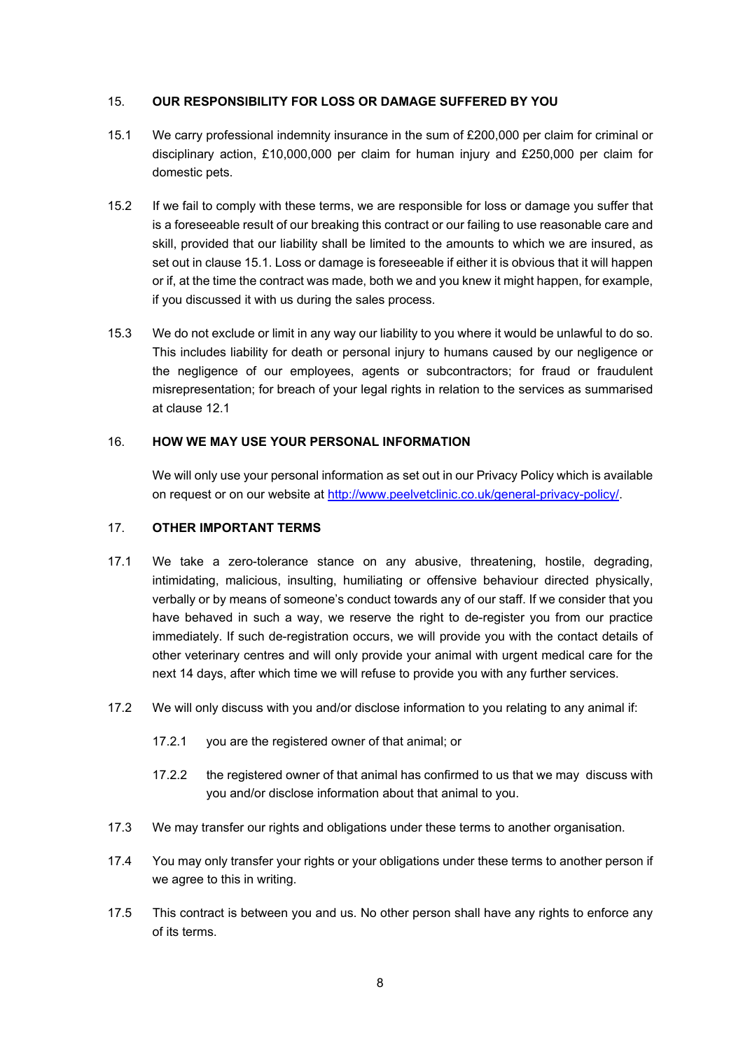## 15. **OUR RESPONSIBILITY FOR LOSS OR DAMAGE SUFFERED BY YOU**

- 15.1 We carry professional indemnity insurance in the sum of £200,000 per claim for criminal or disciplinary action, £10,000,000 per claim for human injury and £250,000 per claim for domestic pets.
- 15.2 If we fail to comply with these terms, we are responsible for loss or damage you suffer that is a foreseeable result of our breaking this contract or our failing to use reasonable care and skill, provided that our liability shall be limited to the amounts to which we are insured, as set out in clause 15.1. Loss or damage is foreseeable if either it is obvious that it will happen or if, at the time the contract was made, both we and you knew it might happen, for example, if you discussed it with us during the sales process.
- 15.3 We do not exclude or limit in any way our liability to you where it would be unlawful to do so. This includes liability for death or personal injury to humans caused by our negligence or the negligence of our employees, agents or subcontractors; for fraud or fraudulent misrepresentation; for breach of your legal rights in relation to the services as summarised at clause 12.1

## 16. **HOW WE MAY USE YOUR PERSONAL INFORMATION**

We will only use your personal information as set out in our Privacy Policy which is available on request or on our website at http://www.peelvetclinic.co.uk/general-privacy-policy/.

## 17. **OTHER IMPORTANT TERMS**

- 17.1 We take a zero-tolerance stance on any abusive, threatening, hostile, degrading, intimidating, malicious, insulting, humiliating or offensive behaviour directed physically, verbally or by means of someone's conduct towards any of our staff. If we consider that you have behaved in such a way, we reserve the right to de-register you from our practice immediately. If such de-registration occurs, we will provide you with the contact details of other veterinary centres and will only provide your animal with urgent medical care for the next 14 days, after which time we will refuse to provide you with any further services.
- 17.2 We will only discuss with you and/or disclose information to you relating to any animal if:
	- 17.2.1 you are the registered owner of that animal; or
	- 17.2.2 the registered owner of that animal has confirmed to us that we may discuss with you and/or disclose information about that animal to you.
- 17.3 We may transfer our rights and obligations under these terms to another organisation.
- 17.4 You may only transfer your rights or your obligations under these terms to another person if we agree to this in writing.
- 17.5 This contract is between you and us. No other person shall have any rights to enforce any of its terms.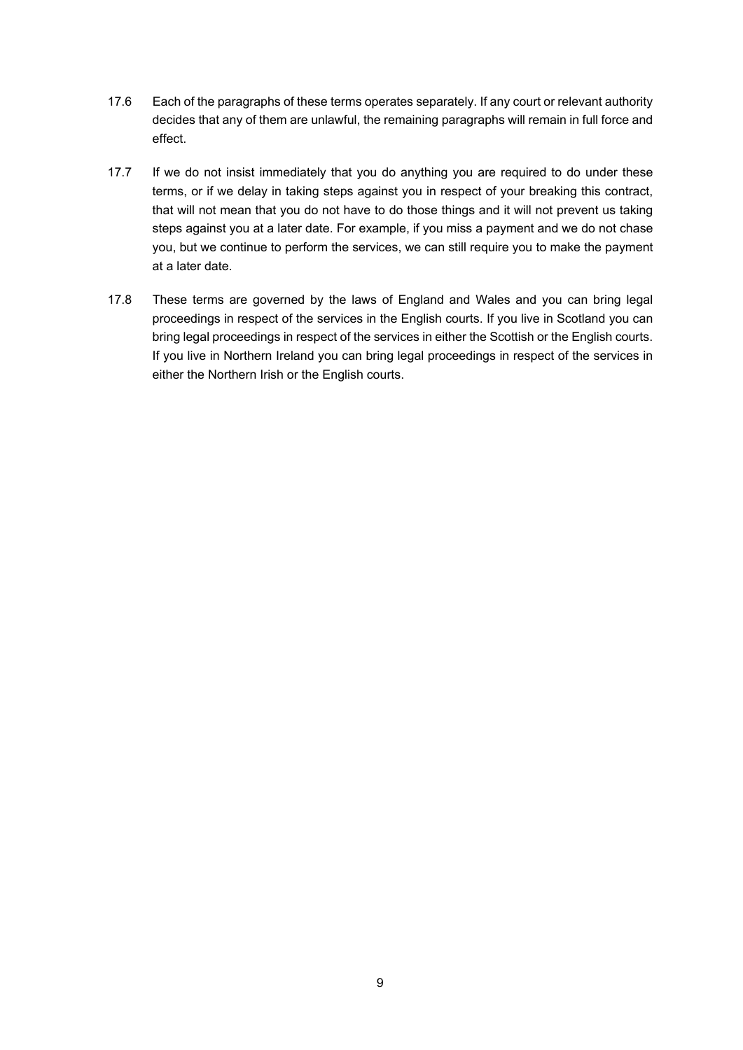- 17.6 Each of the paragraphs of these terms operates separately. If any court or relevant authority decides that any of them are unlawful, the remaining paragraphs will remain in full force and effect.
- 17.7 If we do not insist immediately that you do anything you are required to do under these terms, or if we delay in taking steps against you in respect of your breaking this contract, that will not mean that you do not have to do those things and it will not prevent us taking steps against you at a later date. For example, if you miss a payment and we do not chase you, but we continue to perform the services, we can still require you to make the payment at a later date.
- 17.8 These terms are governed by the laws of England and Wales and you can bring legal proceedings in respect of the services in the English courts. If you live in Scotland you can bring legal proceedings in respect of the services in either the Scottish or the English courts. If you live in Northern Ireland you can bring legal proceedings in respect of the services in either the Northern Irish or the English courts.